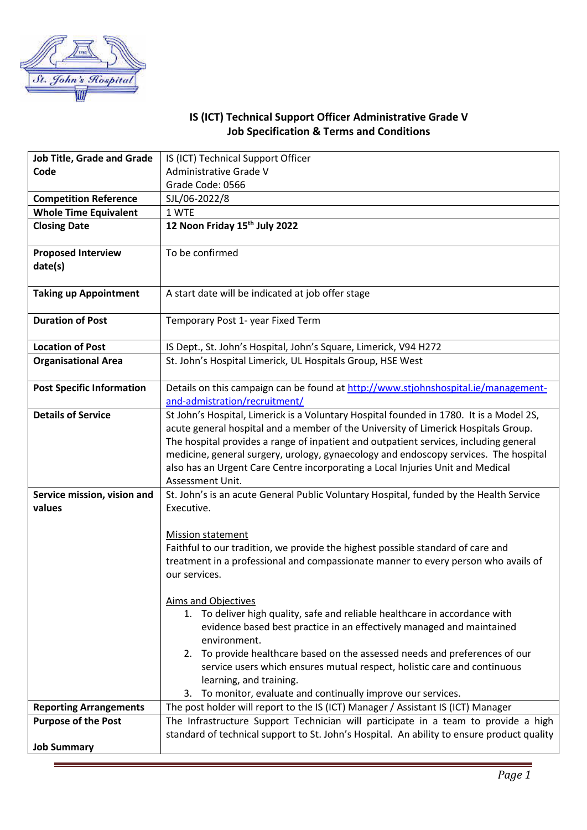

## **IS (ICT) Technical Support Officer Administrative Grade V Job Specification & Terms and Conditions**

| <b>Job Title, Grade and Grade</b>    | IS (ICT) Technical Support Officer                                                                                                                                   |
|--------------------------------------|----------------------------------------------------------------------------------------------------------------------------------------------------------------------|
| Code                                 | Administrative Grade V                                                                                                                                               |
|                                      | Grade Code: 0566                                                                                                                                                     |
| <b>Competition Reference</b>         | SJL/06-2022/8                                                                                                                                                        |
| <b>Whole Time Equivalent</b>         | 1 WTE                                                                                                                                                                |
| <b>Closing Date</b>                  | 12 Noon Friday 15th July 2022                                                                                                                                        |
| <b>Proposed Interview</b><br>date(s) | To be confirmed                                                                                                                                                      |
| <b>Taking up Appointment</b>         | A start date will be indicated at job offer stage                                                                                                                    |
| <b>Duration of Post</b>              | Temporary Post 1- year Fixed Term                                                                                                                                    |
| <b>Location of Post</b>              | IS Dept., St. John's Hospital, John's Square, Limerick, V94 H272                                                                                                     |
| <b>Organisational Area</b>           | St. John's Hospital Limerick, UL Hospitals Group, HSE West                                                                                                           |
| <b>Post Specific Information</b>     | Details on this campaign can be found at http://www.stjohnshospital.ie/management-                                                                                   |
|                                      | and-admistration/recruitment/                                                                                                                                        |
| <b>Details of Service</b>            | St John's Hospital, Limerick is a Voluntary Hospital founded in 1780. It is a Model 2S,                                                                              |
|                                      | acute general hospital and a member of the University of Limerick Hospitals Group.                                                                                   |
|                                      | The hospital provides a range of inpatient and outpatient services, including general                                                                                |
|                                      | medicine, general surgery, urology, gynaecology and endoscopy services. The hospital                                                                                 |
|                                      | also has an Urgent Care Centre incorporating a Local Injuries Unit and Medical<br>Assessment Unit.                                                                   |
| Service mission, vision and          | St. John's is an acute General Public Voluntary Hospital, funded by the Health Service                                                                               |
| values                               | Executive.                                                                                                                                                           |
|                                      |                                                                                                                                                                      |
|                                      | <b>Mission statement</b>                                                                                                                                             |
|                                      | Faithful to our tradition, we provide the highest possible standard of care and                                                                                      |
|                                      | treatment in a professional and compassionate manner to every person who avails of                                                                                   |
|                                      | our services.                                                                                                                                                        |
|                                      |                                                                                                                                                                      |
|                                      | Aims and Objectives                                                                                                                                                  |
|                                      | 1. To deliver high quality, safe and reliable healthcare in accordance with<br>evidence based best practice in an effectively managed and maintained<br>environment. |
|                                      | 2. To provide healthcare based on the assessed needs and preferences of our                                                                                          |
|                                      | service users which ensures mutual respect, holistic care and continuous                                                                                             |
|                                      | learning, and training.                                                                                                                                              |
|                                      | To monitor, evaluate and continually improve our services.<br>3.                                                                                                     |
| <b>Reporting Arrangements</b>        | The post holder will report to the IS (ICT) Manager / Assistant IS (ICT) Manager                                                                                     |
| <b>Purpose of the Post</b>           | The Infrastructure Support Technician will participate in a team to provide a high                                                                                   |
|                                      | standard of technical support to St. John's Hospital. An ability to ensure product quality                                                                           |
| <b>Job Summary</b>                   |                                                                                                                                                                      |
|                                      |                                                                                                                                                                      |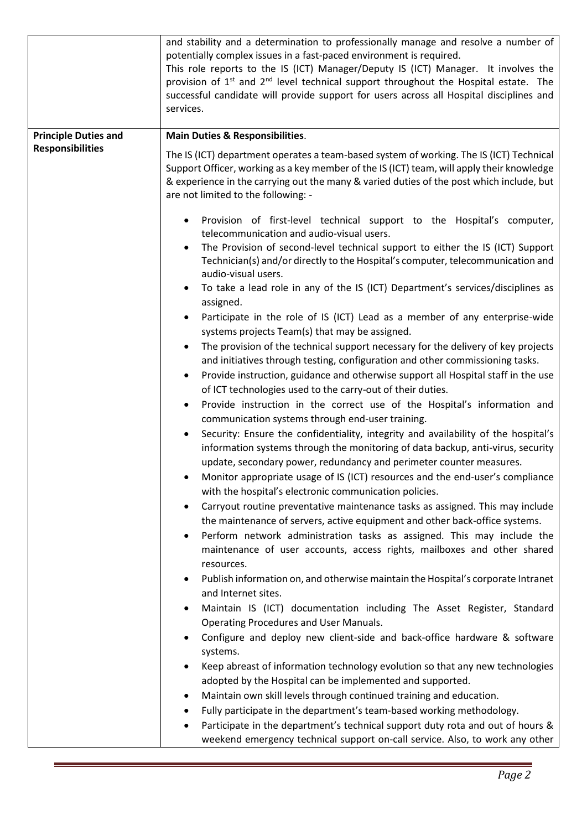|                             | and stability and a determination to professionally manage and resolve a number of<br>potentially complex issues in a fast-paced environment is required.<br>This role reports to the IS (ICT) Manager/Deputy IS (ICT) Manager. It involves the<br>provision of 1 <sup>st</sup> and 2 <sup>nd</sup> level technical support throughout the Hospital estate. The<br>successful candidate will provide support for users across all Hospital disciplines and<br>services. |
|-----------------------------|-------------------------------------------------------------------------------------------------------------------------------------------------------------------------------------------------------------------------------------------------------------------------------------------------------------------------------------------------------------------------------------------------------------------------------------------------------------------------|
| <b>Principle Duties and</b> | <b>Main Duties &amp; Responsibilities.</b>                                                                                                                                                                                                                                                                                                                                                                                                                              |
| <b>Responsibilities</b>     | The IS (ICT) department operates a team-based system of working. The IS (ICT) Technical<br>Support Officer, working as a key member of the IS (ICT) team, will apply their knowledge<br>& experience in the carrying out the many & varied duties of the post which include, but<br>are not limited to the following: -                                                                                                                                                 |
|                             | Provision of first-level technical support to the Hospital's computer,<br>telecommunication and audio-visual users.                                                                                                                                                                                                                                                                                                                                                     |
|                             | The Provision of second-level technical support to either the IS (ICT) Support<br>٠<br>Technician(s) and/or directly to the Hospital's computer, telecommunication and<br>audio-visual users.                                                                                                                                                                                                                                                                           |
|                             | To take a lead role in any of the IS (ICT) Department's services/disciplines as<br>assigned.                                                                                                                                                                                                                                                                                                                                                                            |
|                             | Participate in the role of IS (ICT) Lead as a member of any enterprise-wide<br>systems projects Team(s) that may be assigned.                                                                                                                                                                                                                                                                                                                                           |
|                             | The provision of the technical support necessary for the delivery of key projects                                                                                                                                                                                                                                                                                                                                                                                       |
|                             | and initiatives through testing, configuration and other commissioning tasks.                                                                                                                                                                                                                                                                                                                                                                                           |
|                             | Provide instruction, guidance and otherwise support all Hospital staff in the use<br>$\bullet$<br>of ICT technologies used to the carry-out of their duties.                                                                                                                                                                                                                                                                                                            |
|                             | Provide instruction in the correct use of the Hospital's information and                                                                                                                                                                                                                                                                                                                                                                                                |
|                             | communication systems through end-user training.                                                                                                                                                                                                                                                                                                                                                                                                                        |
|                             | Security: Ensure the confidentiality, integrity and availability of the hospital's<br>information systems through the monitoring of data backup, anti-virus, security<br>update, secondary power, redundancy and perimeter counter measures.                                                                                                                                                                                                                            |
|                             | Monitor appropriate usage of IS (ICT) resources and the end-user's compliance<br>with the hospital's electronic communication policies.                                                                                                                                                                                                                                                                                                                                 |
|                             | Carryout routine preventative maintenance tasks as assigned. This may include<br>the maintenance of servers, active equipment and other back-office systems.                                                                                                                                                                                                                                                                                                            |
|                             | Perform network administration tasks as assigned. This may include the<br>maintenance of user accounts, access rights, mailboxes and other shared<br>resources.                                                                                                                                                                                                                                                                                                         |
|                             | Publish information on, and otherwise maintain the Hospital's corporate Intranet<br>٠<br>and Internet sites.                                                                                                                                                                                                                                                                                                                                                            |
|                             | Maintain IS (ICT) documentation including The Asset Register, Standard                                                                                                                                                                                                                                                                                                                                                                                                  |
|                             | Operating Procedures and User Manuals.                                                                                                                                                                                                                                                                                                                                                                                                                                  |
|                             | Configure and deploy new client-side and back-office hardware & software<br>systems.                                                                                                                                                                                                                                                                                                                                                                                    |
|                             | Keep abreast of information technology evolution so that any new technologies<br>adopted by the Hospital can be implemented and supported.                                                                                                                                                                                                                                                                                                                              |
|                             | Maintain own skill levels through continued training and education.<br>٠                                                                                                                                                                                                                                                                                                                                                                                                |
|                             | Fully participate in the department's team-based working methodology.<br>٠                                                                                                                                                                                                                                                                                                                                                                                              |
|                             | Participate in the department's technical support duty rota and out of hours &<br>٠<br>weekend emergency technical support on-call service. Also, to work any other                                                                                                                                                                                                                                                                                                     |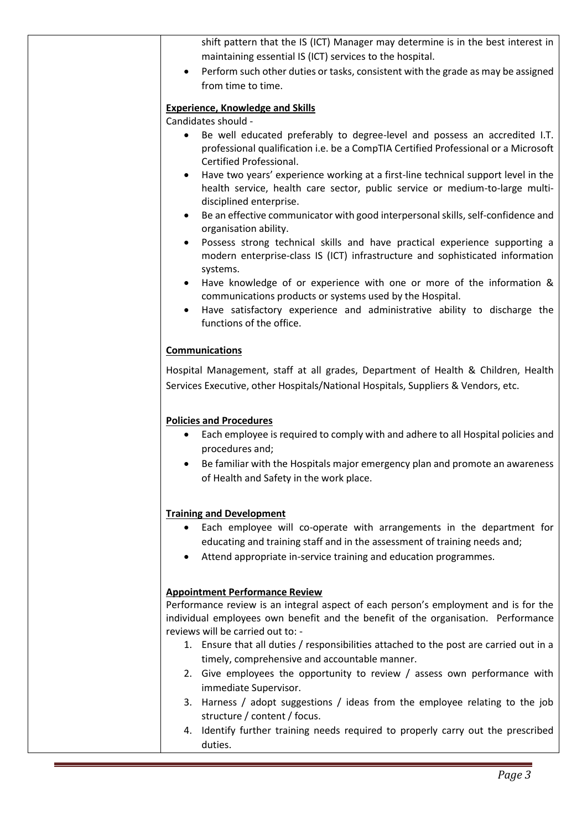| shift pattern that the IS (ICT) Manager may determine is in the best interest in<br>maintaining essential IS (ICT) services to the hospital.                                                                           |
|------------------------------------------------------------------------------------------------------------------------------------------------------------------------------------------------------------------------|
| Perform such other duties or tasks, consistent with the grade as may be assigned<br>from time to time.                                                                                                                 |
| <b>Experience, Knowledge and Skills</b>                                                                                                                                                                                |
| Candidates should -                                                                                                                                                                                                    |
| Be well educated preferably to degree-level and possess an accredited I.T.<br>professional qualification i.e. be a CompTIA Certified Professional or a Microsoft<br>Certified Professional.                            |
| Have two years' experience working at a first-line technical support level in the<br>health service, health care sector, public service or medium-to-large multi-<br>disciplined enterprise.                           |
| Be an effective communicator with good interpersonal skills, self-confidence and<br>organisation ability.                                                                                                              |
| Possess strong technical skills and have practical experience supporting a<br>modern enterprise-class IS (ICT) infrastructure and sophisticated information<br>systems.                                                |
| Have knowledge of or experience with one or more of the information &<br>communications products or systems used by the Hospital.                                                                                      |
| Have satisfactory experience and administrative ability to discharge the<br>functions of the office.                                                                                                                   |
| <b>Communications</b>                                                                                                                                                                                                  |
| Hospital Management, staff at all grades, Department of Health & Children, Health<br>Services Executive, other Hospitals/National Hospitals, Suppliers & Vendors, etc.                                                 |
| <b>Policies and Procedures</b>                                                                                                                                                                                         |
| Each employee is required to comply with and adhere to all Hospital policies and<br>$\bullet$<br>procedures and;                                                                                                       |
| Be familiar with the Hospitals major emergency plan and promote an awareness<br>of Health and Safety in the work place.                                                                                                |
| <b>Training and Development</b>                                                                                                                                                                                        |
| Each employee will co-operate with arrangements in the department for<br>educating and training staff and in the assessment of training needs and;<br>Attend appropriate in-service training and education programmes. |
| <b>Appointment Performance Review</b>                                                                                                                                                                                  |
| Performance review is an integral aspect of each person's employment and is for the                                                                                                                                    |
| individual employees own benefit and the benefit of the organisation. Performance<br>reviews will be carried out to: -                                                                                                 |
| 1. Ensure that all duties / responsibilities attached to the post are carried out in a<br>timely, comprehensive and accountable manner.                                                                                |
| 2. Give employees the opportunity to review / assess own performance with<br>immediate Supervisor.                                                                                                                     |
| 3. Harness / adopt suggestions / ideas from the employee relating to the job<br>structure / content / focus.                                                                                                           |
| 4. Identify further training needs required to properly carry out the prescribed<br>duties.                                                                                                                            |
|                                                                                                                                                                                                                        |
|                                                                                                                                                                                                                        |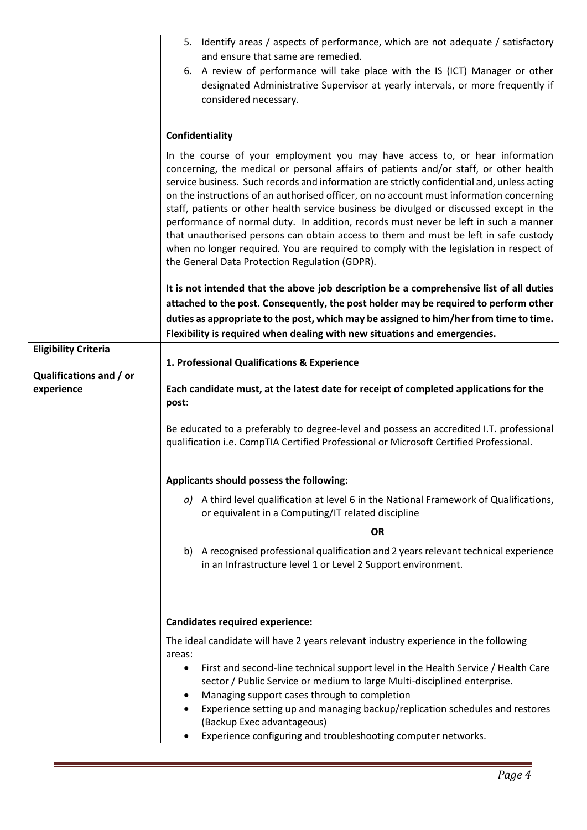|                                       | 5. Identify areas / aspects of performance, which are not adequate / satisfactory                                                                                                                                                                                                                                                                                                                                                                                                                                                                                                                                                                                                                                                                                                      |
|---------------------------------------|----------------------------------------------------------------------------------------------------------------------------------------------------------------------------------------------------------------------------------------------------------------------------------------------------------------------------------------------------------------------------------------------------------------------------------------------------------------------------------------------------------------------------------------------------------------------------------------------------------------------------------------------------------------------------------------------------------------------------------------------------------------------------------------|
|                                       | and ensure that same are remedied.                                                                                                                                                                                                                                                                                                                                                                                                                                                                                                                                                                                                                                                                                                                                                     |
|                                       | 6. A review of performance will take place with the IS (ICT) Manager or other<br>designated Administrative Supervisor at yearly intervals, or more frequently if<br>considered necessary.                                                                                                                                                                                                                                                                                                                                                                                                                                                                                                                                                                                              |
|                                       | Confidentiality                                                                                                                                                                                                                                                                                                                                                                                                                                                                                                                                                                                                                                                                                                                                                                        |
|                                       | In the course of your employment you may have access to, or hear information<br>concerning, the medical or personal affairs of patients and/or staff, or other health<br>service business. Such records and information are strictly confidential and, unless acting<br>on the instructions of an authorised officer, on no account must information concerning<br>staff, patients or other health service business be divulged or discussed except in the<br>performance of normal duty. In addition, records must never be left in such a manner<br>that unauthorised persons can obtain access to them and must be left in safe custody<br>when no longer required. You are required to comply with the legislation in respect of<br>the General Data Protection Regulation (GDPR). |
|                                       | It is not intended that the above job description be a comprehensive list of all duties<br>attached to the post. Consequently, the post holder may be required to perform other<br>duties as appropriate to the post, which may be assigned to him/her from time to time.<br>Flexibility is required when dealing with new situations and emergencies.                                                                                                                                                                                                                                                                                                                                                                                                                                 |
| <b>Eligibility Criteria</b>           |                                                                                                                                                                                                                                                                                                                                                                                                                                                                                                                                                                                                                                                                                                                                                                                        |
|                                       | 1. Professional Qualifications & Experience                                                                                                                                                                                                                                                                                                                                                                                                                                                                                                                                                                                                                                                                                                                                            |
| Qualifications and / or<br>experience | Each candidate must, at the latest date for receipt of completed applications for the<br>post:                                                                                                                                                                                                                                                                                                                                                                                                                                                                                                                                                                                                                                                                                         |
|                                       | Be educated to a preferably to degree-level and possess an accredited I.T. professional<br>qualification i.e. CompTIA Certified Professional or Microsoft Certified Professional.                                                                                                                                                                                                                                                                                                                                                                                                                                                                                                                                                                                                      |
|                                       | Applicants should possess the following:                                                                                                                                                                                                                                                                                                                                                                                                                                                                                                                                                                                                                                                                                                                                               |
|                                       | $a$ ) A third level qualification at level 6 in the National Framework of Qualifications,<br>or equivalent in a Computing/IT related discipline                                                                                                                                                                                                                                                                                                                                                                                                                                                                                                                                                                                                                                        |
|                                       | <b>OR</b>                                                                                                                                                                                                                                                                                                                                                                                                                                                                                                                                                                                                                                                                                                                                                                              |
|                                       | A recognised professional qualification and 2 years relevant technical experience<br>b)<br>in an Infrastructure level 1 or Level 2 Support environment.                                                                                                                                                                                                                                                                                                                                                                                                                                                                                                                                                                                                                                |
|                                       | <b>Candidates required experience:</b>                                                                                                                                                                                                                                                                                                                                                                                                                                                                                                                                                                                                                                                                                                                                                 |
|                                       | The ideal candidate will have 2 years relevant industry experience in the following<br>areas:                                                                                                                                                                                                                                                                                                                                                                                                                                                                                                                                                                                                                                                                                          |
|                                       | First and second-line technical support level in the Health Service / Health Care<br>٠<br>sector / Public Service or medium to large Multi-disciplined enterprise.                                                                                                                                                                                                                                                                                                                                                                                                                                                                                                                                                                                                                     |
|                                       | Managing support cases through to completion<br>Experience setting up and managing backup/replication schedules and restores<br>(Backup Exec advantageous)                                                                                                                                                                                                                                                                                                                                                                                                                                                                                                                                                                                                                             |
|                                       | Experience configuring and troubleshooting computer networks.                                                                                                                                                                                                                                                                                                                                                                                                                                                                                                                                                                                                                                                                                                                          |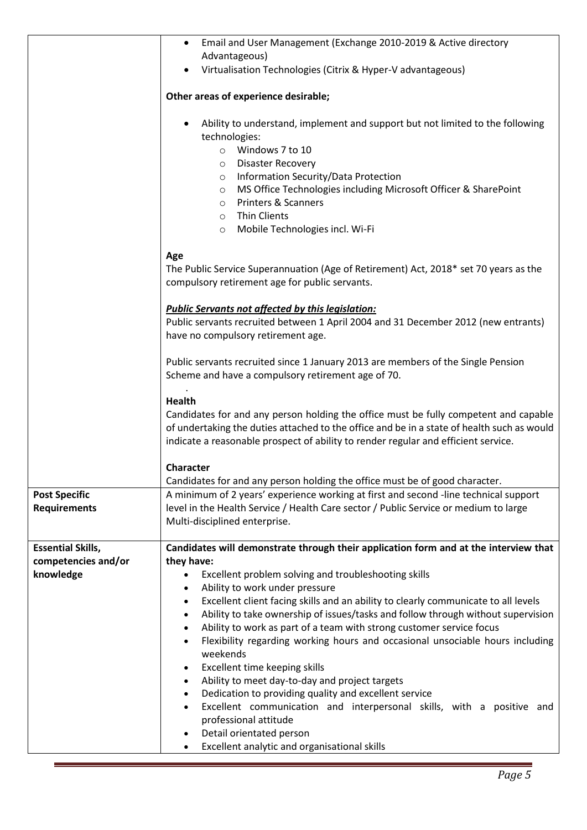|                          | Email and User Management (Exchange 2010-2019 & Active directory<br>$\bullet$                                                                                                      |
|--------------------------|------------------------------------------------------------------------------------------------------------------------------------------------------------------------------------|
|                          | Advantageous)                                                                                                                                                                      |
|                          | Virtualisation Technologies (Citrix & Hyper-V advantageous)<br>$\bullet$                                                                                                           |
|                          | Other areas of experience desirable;                                                                                                                                               |
|                          | Ability to understand, implement and support but not limited to the following                                                                                                      |
|                          | technologies:                                                                                                                                                                      |
|                          | O Windows 7 to 10                                                                                                                                                                  |
|                          | <b>Disaster Recovery</b><br>$\circ$<br>Information Security/Data Protection                                                                                                        |
|                          | $\circ$<br>MS Office Technologies including Microsoft Officer & SharePoint<br>$\circ$                                                                                              |
|                          | Printers & Scanners<br>$\circ$                                                                                                                                                     |
|                          | <b>Thin Clients</b><br>$\circ$                                                                                                                                                     |
|                          | Mobile Technologies incl. Wi-Fi<br>$\circ$                                                                                                                                         |
|                          |                                                                                                                                                                                    |
|                          | Age                                                                                                                                                                                |
|                          | The Public Service Superannuation (Age of Retirement) Act, 2018* set 70 years as the<br>compulsory retirement age for public servants.                                             |
|                          |                                                                                                                                                                                    |
|                          | <b>Public Servants not affected by this legislation:</b>                                                                                                                           |
|                          | Public servants recruited between 1 April 2004 and 31 December 2012 (new entrants)                                                                                                 |
|                          | have no compulsory retirement age.                                                                                                                                                 |
|                          | Public servants recruited since 1 January 2013 are members of the Single Pension                                                                                                   |
|                          | Scheme and have a compulsory retirement age of 70.                                                                                                                                 |
|                          |                                                                                                                                                                                    |
|                          | <b>Health</b>                                                                                                                                                                      |
|                          | Candidates for and any person holding the office must be fully competent and capable                                                                                               |
|                          | of undertaking the duties attached to the office and be in a state of health such as would<br>indicate a reasonable prospect of ability to render regular and efficient service.   |
|                          |                                                                                                                                                                                    |
|                          | Character                                                                                                                                                                          |
|                          | Candidates for and any person holding the office must be of good character.                                                                                                        |
| <b>Post Specific</b>     | A minimum of 2 years' experience working at first and second -line technical support                                                                                               |
| <b>Requirements</b>      | level in the Health Service / Health Care sector / Public Service or medium to large                                                                                               |
|                          | Multi-disciplined enterprise.                                                                                                                                                      |
| <b>Essential Skills,</b> | Candidates will demonstrate through their application form and at the interview that                                                                                               |
| competencies and/or      | they have:                                                                                                                                                                         |
| knowledge                | Excellent problem solving and troubleshooting skills<br>$\bullet$                                                                                                                  |
|                          | Ability to work under pressure<br>$\bullet$                                                                                                                                        |
|                          | Excellent client facing skills and an ability to clearly communicate to all levels<br>$\bullet$                                                                                    |
|                          | Ability to take ownership of issues/tasks and follow through without supervision<br>$\bullet$<br>Ability to work as part of a team with strong customer service focus<br>$\bullet$ |
|                          | Flexibility regarding working hours and occasional unsociable hours including<br>$\bullet$                                                                                         |
|                          | weekends                                                                                                                                                                           |
|                          | Excellent time keeping skills<br>$\bullet$                                                                                                                                         |
|                          | Ability to meet day-to-day and project targets<br>$\bullet$                                                                                                                        |
|                          | Dedication to providing quality and excellent service<br>$\bullet$                                                                                                                 |
|                          | Excellent communication and interpersonal skills, with a positive and<br>$\bullet$                                                                                                 |
|                          | professional attitude<br>Detail orientated person<br>$\bullet$                                                                                                                     |
|                          | Excellent analytic and organisational skills<br>$\bullet$                                                                                                                          |
|                          |                                                                                                                                                                                    |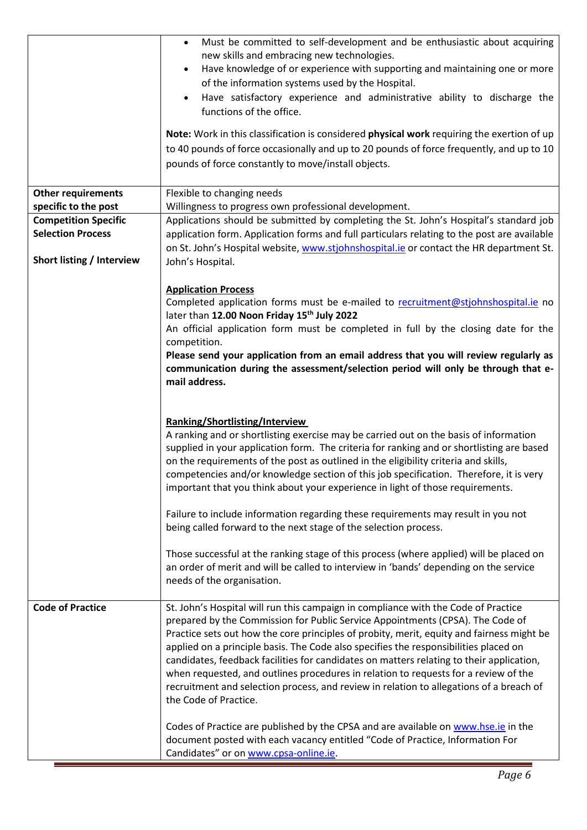|                             | Must be committed to self-development and be enthusiastic about acquiring<br>$\bullet$<br>new skills and embracing new technologies.<br>Have knowledge of or experience with supporting and maintaining one or more<br>of the information systems used by the Hospital.<br>Have satisfactory experience and administrative ability to discharge the<br>functions of the office.<br>Note: Work in this classification is considered physical work requiring the exertion of up<br>to 40 pounds of force occasionally and up to 20 pounds of force frequently, and up to 10<br>pounds of force constantly to move/install objects.                                                                                                                                                                                                                                                 |
|-----------------------------|----------------------------------------------------------------------------------------------------------------------------------------------------------------------------------------------------------------------------------------------------------------------------------------------------------------------------------------------------------------------------------------------------------------------------------------------------------------------------------------------------------------------------------------------------------------------------------------------------------------------------------------------------------------------------------------------------------------------------------------------------------------------------------------------------------------------------------------------------------------------------------|
| <b>Other requirements</b>   | Flexible to changing needs                                                                                                                                                                                                                                                                                                                                                                                                                                                                                                                                                                                                                                                                                                                                                                                                                                                       |
| specific to the post        | Willingness to progress own professional development.                                                                                                                                                                                                                                                                                                                                                                                                                                                                                                                                                                                                                                                                                                                                                                                                                            |
| <b>Competition Specific</b> | Applications should be submitted by completing the St. John's Hospital's standard job                                                                                                                                                                                                                                                                                                                                                                                                                                                                                                                                                                                                                                                                                                                                                                                            |
| <b>Selection Process</b>    | application form. Application forms and full particulars relating to the post are available                                                                                                                                                                                                                                                                                                                                                                                                                                                                                                                                                                                                                                                                                                                                                                                      |
|                             | on St. John's Hospital website, www.stjohnshospital.ie or contact the HR department St.                                                                                                                                                                                                                                                                                                                                                                                                                                                                                                                                                                                                                                                                                                                                                                                          |
| Short listing / Interview   | John's Hospital.                                                                                                                                                                                                                                                                                                                                                                                                                                                                                                                                                                                                                                                                                                                                                                                                                                                                 |
|                             |                                                                                                                                                                                                                                                                                                                                                                                                                                                                                                                                                                                                                                                                                                                                                                                                                                                                                  |
|                             | <b>Application Process</b>                                                                                                                                                                                                                                                                                                                                                                                                                                                                                                                                                                                                                                                                                                                                                                                                                                                       |
|                             | Completed application forms must be e-mailed to recruitment@stjohnshospital.ie no                                                                                                                                                                                                                                                                                                                                                                                                                                                                                                                                                                                                                                                                                                                                                                                                |
|                             | later than 12.00 Noon Friday 15th July 2022<br>An official application form must be completed in full by the closing date for the                                                                                                                                                                                                                                                                                                                                                                                                                                                                                                                                                                                                                                                                                                                                                |
|                             | competition.                                                                                                                                                                                                                                                                                                                                                                                                                                                                                                                                                                                                                                                                                                                                                                                                                                                                     |
|                             | Please send your application from an email address that you will review regularly as                                                                                                                                                                                                                                                                                                                                                                                                                                                                                                                                                                                                                                                                                                                                                                                             |
|                             | communication during the assessment/selection period will only be through that e-                                                                                                                                                                                                                                                                                                                                                                                                                                                                                                                                                                                                                                                                                                                                                                                                |
|                             | mail address.                                                                                                                                                                                                                                                                                                                                                                                                                                                                                                                                                                                                                                                                                                                                                                                                                                                                    |
|                             |                                                                                                                                                                                                                                                                                                                                                                                                                                                                                                                                                                                                                                                                                                                                                                                                                                                                                  |
|                             | Ranking/Shortlisting/Interview<br>A ranking and or shortlisting exercise may be carried out on the basis of information<br>supplied in your application form. The criteria for ranking and or shortlisting are based<br>on the requirements of the post as outlined in the eligibility criteria and skills,<br>competencies and/or knowledge section of this job specification. Therefore, it is very<br>important that you think about your experience in light of those requirements.<br>Failure to include information regarding these requirements may result in you not<br>being called forward to the next stage of the selection process.<br>Those successful at the ranking stage of this process (where applied) will be placed on<br>an order of merit and will be called to interview in 'bands' depending on the service<br>needs of the organisation.               |
| <b>Code of Practice</b>     | St. John's Hospital will run this campaign in compliance with the Code of Practice<br>prepared by the Commission for Public Service Appointments (CPSA). The Code of<br>Practice sets out how the core principles of probity, merit, equity and fairness might be<br>applied on a principle basis. The Code also specifies the responsibilities placed on<br>candidates, feedback facilities for candidates on matters relating to their application,<br>when requested, and outlines procedures in relation to requests for a review of the<br>recruitment and selection process, and review in relation to allegations of a breach of<br>the Code of Practice.<br>Codes of Practice are published by the CPSA and are available on www.hse.ie in the<br>document posted with each vacancy entitled "Code of Practice, Information For<br>Candidates" or on www.cpsa-online.ie. |

Е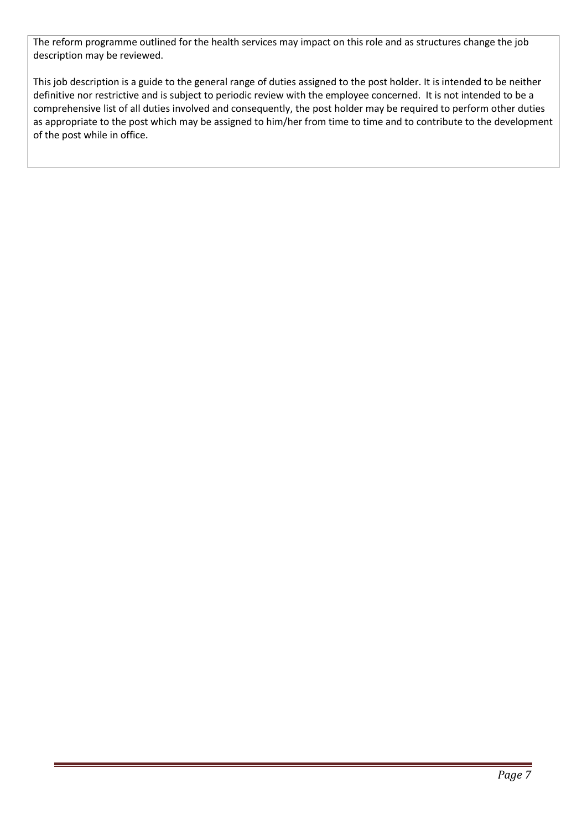The reform programme outlined for the health services may impact on this role and as structures change the job description may be reviewed.

This job description is a guide to the general range of duties assigned to the post holder. It is intended to be neither definitive nor restrictive and is subject to periodic review with the employee concerned. It is not intended to be a comprehensive list of all duties involved and consequently, the post holder may be required to perform other duties as appropriate to the post which may be assigned to him/her from time to time and to contribute to the development of the post while in office.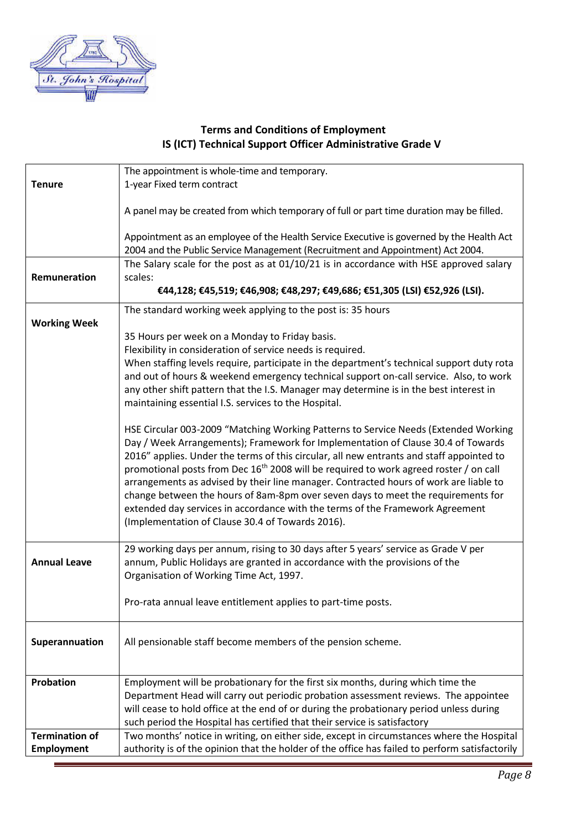

## **Terms and Conditions of Employment IS (ICT) Technical Support Officer Administrative Grade V**

| 1-year Fixed term contract<br><b>Tenure</b><br>A panel may be created from which temporary of full or part time duration may be filled.<br>Appointment as an employee of the Health Service Executive is governed by the Health Act<br>2004 and the Public Service Management (Recruitment and Appointment) Act 2004.<br>The Salary scale for the post as at 01/10/21 is in accordance with HSE approved salary<br>Remuneration<br>scales:<br>€44,128; €45,519; €46,908; €48,297; €49,686; €51,305 (LSI) €52,926 (LSI). |
|-------------------------------------------------------------------------------------------------------------------------------------------------------------------------------------------------------------------------------------------------------------------------------------------------------------------------------------------------------------------------------------------------------------------------------------------------------------------------------------------------------------------------|
|                                                                                                                                                                                                                                                                                                                                                                                                                                                                                                                         |
|                                                                                                                                                                                                                                                                                                                                                                                                                                                                                                                         |
|                                                                                                                                                                                                                                                                                                                                                                                                                                                                                                                         |
|                                                                                                                                                                                                                                                                                                                                                                                                                                                                                                                         |
|                                                                                                                                                                                                                                                                                                                                                                                                                                                                                                                         |
|                                                                                                                                                                                                                                                                                                                                                                                                                                                                                                                         |
|                                                                                                                                                                                                                                                                                                                                                                                                                                                                                                                         |
|                                                                                                                                                                                                                                                                                                                                                                                                                                                                                                                         |
|                                                                                                                                                                                                                                                                                                                                                                                                                                                                                                                         |
| The standard working week applying to the post is: 35 hours                                                                                                                                                                                                                                                                                                                                                                                                                                                             |
| <b>Working Week</b>                                                                                                                                                                                                                                                                                                                                                                                                                                                                                                     |
| 35 Hours per week on a Monday to Friday basis.                                                                                                                                                                                                                                                                                                                                                                                                                                                                          |
| Flexibility in consideration of service needs is required.                                                                                                                                                                                                                                                                                                                                                                                                                                                              |
| When staffing levels require, participate in the department's technical support duty rota                                                                                                                                                                                                                                                                                                                                                                                                                               |
| and out of hours & weekend emergency technical support on-call service. Also, to work                                                                                                                                                                                                                                                                                                                                                                                                                                   |
| any other shift pattern that the I.S. Manager may determine is in the best interest in                                                                                                                                                                                                                                                                                                                                                                                                                                  |
| maintaining essential I.S. services to the Hospital.                                                                                                                                                                                                                                                                                                                                                                                                                                                                    |
|                                                                                                                                                                                                                                                                                                                                                                                                                                                                                                                         |
| HSE Circular 003-2009 "Matching Working Patterns to Service Needs (Extended Working                                                                                                                                                                                                                                                                                                                                                                                                                                     |
| Day / Week Arrangements); Framework for Implementation of Clause 30.4 of Towards                                                                                                                                                                                                                                                                                                                                                                                                                                        |
| 2016" applies. Under the terms of this circular, all new entrants and staff appointed to                                                                                                                                                                                                                                                                                                                                                                                                                                |
| promotional posts from Dec 16 <sup>th</sup> 2008 will be required to work agreed roster / on call                                                                                                                                                                                                                                                                                                                                                                                                                       |
| arrangements as advised by their line manager. Contracted hours of work are liable to<br>change between the hours of 8am-8pm over seven days to meet the requirements for                                                                                                                                                                                                                                                                                                                                               |
| extended day services in accordance with the terms of the Framework Agreement                                                                                                                                                                                                                                                                                                                                                                                                                                           |
| (Implementation of Clause 30.4 of Towards 2016).                                                                                                                                                                                                                                                                                                                                                                                                                                                                        |
|                                                                                                                                                                                                                                                                                                                                                                                                                                                                                                                         |
| 29 working days per annum, rising to 30 days after 5 years' service as Grade V per                                                                                                                                                                                                                                                                                                                                                                                                                                      |
| <b>Annual Leave</b><br>annum, Public Holidays are granted in accordance with the provisions of the                                                                                                                                                                                                                                                                                                                                                                                                                      |
| Organisation of Working Time Act, 1997.                                                                                                                                                                                                                                                                                                                                                                                                                                                                                 |
|                                                                                                                                                                                                                                                                                                                                                                                                                                                                                                                         |
| Pro-rata annual leave entitlement applies to part-time posts.                                                                                                                                                                                                                                                                                                                                                                                                                                                           |
|                                                                                                                                                                                                                                                                                                                                                                                                                                                                                                                         |
|                                                                                                                                                                                                                                                                                                                                                                                                                                                                                                                         |
| All pensionable staff become members of the pension scheme.<br>Superannuation                                                                                                                                                                                                                                                                                                                                                                                                                                           |
|                                                                                                                                                                                                                                                                                                                                                                                                                                                                                                                         |
| Probation<br>Employment will be probationary for the first six months, during which time the                                                                                                                                                                                                                                                                                                                                                                                                                            |
| Department Head will carry out periodic probation assessment reviews. The appointee                                                                                                                                                                                                                                                                                                                                                                                                                                     |
| will cease to hold office at the end of or during the probationary period unless during                                                                                                                                                                                                                                                                                                                                                                                                                                 |
| such period the Hospital has certified that their service is satisfactory                                                                                                                                                                                                                                                                                                                                                                                                                                               |
| <b>Termination of</b><br>Two months' notice in writing, on either side, except in circumstances where the Hospital                                                                                                                                                                                                                                                                                                                                                                                                      |
| authority is of the opinion that the holder of the office has failed to perform satisfactorily<br><b>Employment</b>                                                                                                                                                                                                                                                                                                                                                                                                     |